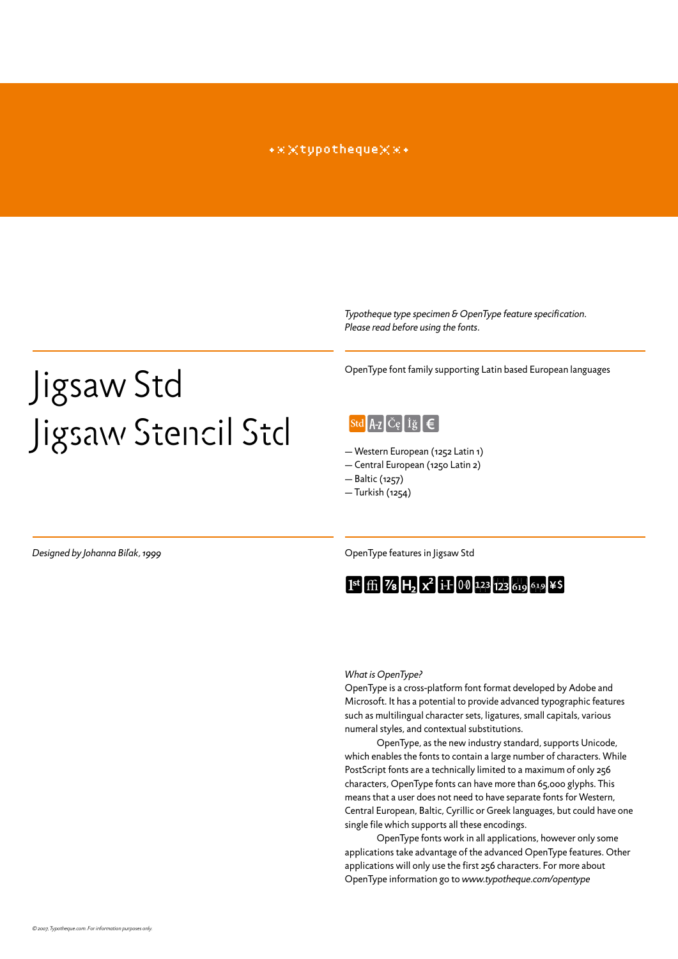#### \*\*\*typotheque\*\*\*

*Typotheque type specimen & OpenType feature specification. Please read before using the fonts.*

## Jigsaw Std Jigsaw Stencil Std

OpenType font family supporting Latin based European languages



— Western European (1252 Latin 1)

— Central European (1250 Latin 2)

— Baltic (1257)

— Turkish (1254)

**Designed by Johanna Bil'ak, 1999 OpenType features in Jigsaw Std** 



#### *What is OpenType?*

OpenType is a cross-platform font format developed by Adobe and Microsoft. It has a potential to provide advanced typographic features such as multilingual character sets, ligatures, small capitals, various numeral styles, and contextual substitutions.

OpenType, as the new industry standard, supports Unicode, which enables the fonts to contain a large number of characters. While PostScript fonts are a technically limited to a maximum of only 256 characters, OpenType fonts can have more than 65,000 glyphs. This means that a user does not need to have separate fonts for Western, Central European, Baltic, Cyrillic or Greek languages, but could have one single file which supports all these encodings.

OpenType fonts work in all applications, however only some applications take advantage of the advanced OpenType features. Other applications will only use the first 256 characters. For more about OpenType information go to *www.typotheque.com/opentype*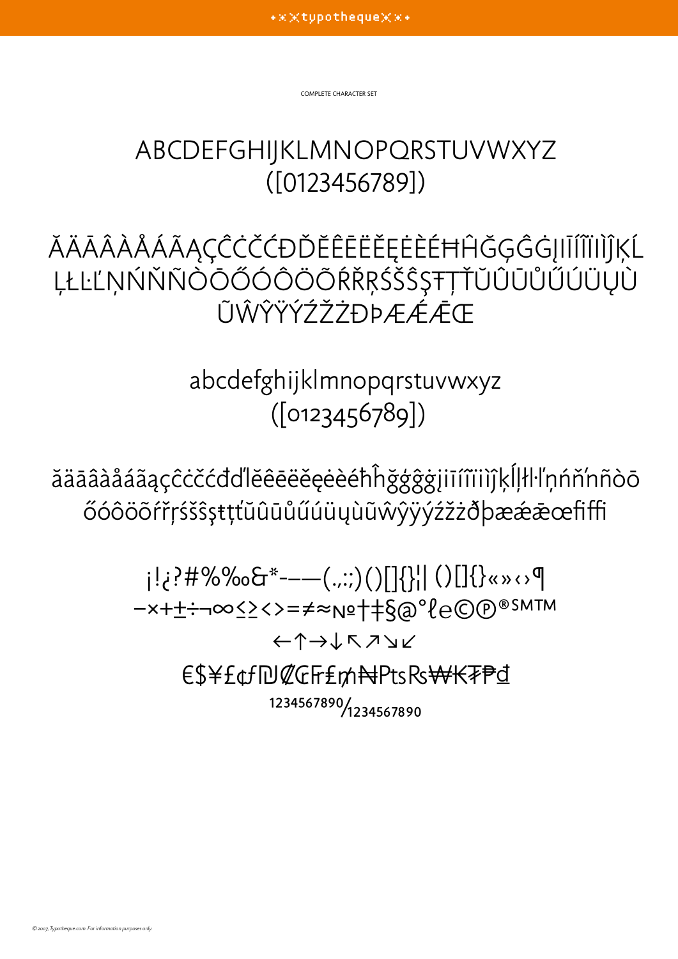complete character set

## abcdefghijkLmnopqrstuvwxyz ([0123456789])

ĂÄĀÂÂÂÂÁÃĄÇĈĊČĆĐĎĔÊĒËĔĔĖĖĖĦĤĞĢĜĠJIĪÍĨÏIÌĴĶĹ **LŁĿĽŅŃŇÑÒŌŐÓÔÖÕŔŘŖŚŠŜȘŦŢŤŬÛŪŮŰÚÜŲÙ** ŨŴŶŸÝŹŽŻĐÞÆÁĀŒ

> abcdefghijklmnopqrstuvwxyz ([0123456789])

ăäāâàåáãąçĉċčćđďlĕêēëěęėèéħĥğģĝġįiīíîïiìĵķĺļłŀľņńň'nñòō őóôöõŕřŗśšŝşŧţťŭûūůűúüųùũŵŷÿýźžżðþæǽǣœfiffi

> ¡!¿?#%‰&\*-–—(.,:;)()[]{}¦| ()[]{}«»‹›¶ −×+±÷¬∞≤≥<>=≠≈№†‡§@°ℓ℮©℗®℠™ ←↑→↓↖↗↘↙ €\$¥£¢ƒ₪₡₢₣₤₥₦₧₨₩₭₮₱₫ 1234567890/1234567890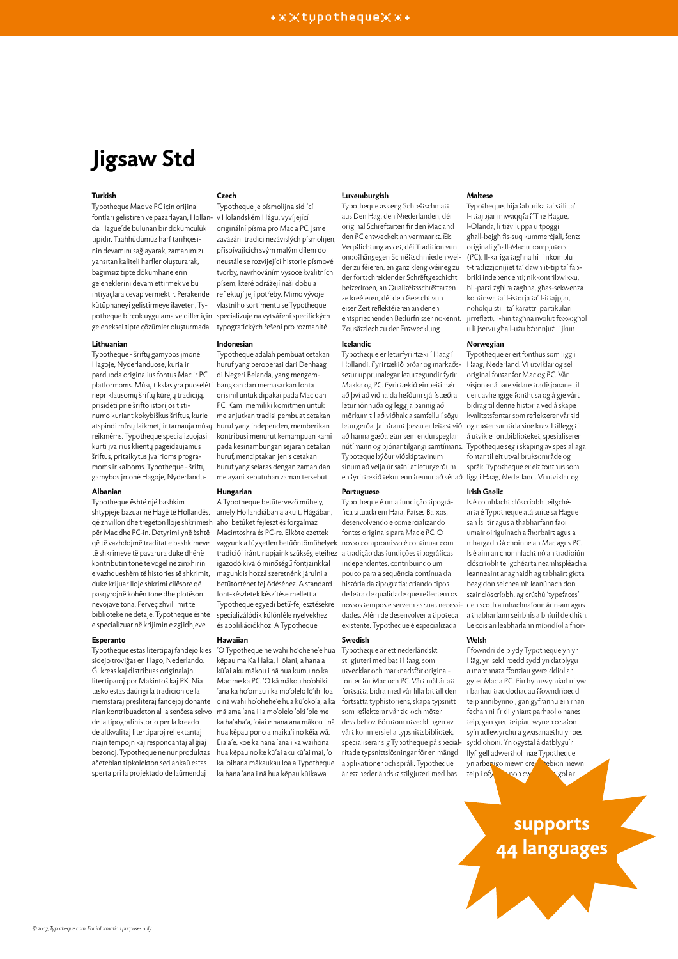## **Jigsaw Std**

#### **Turkish**

Typotheque Mac ve PC için orijinal fontları geliştiren ve pazarlayan, Hollanda Hague'de bulunan bir dökümcülük tipidir. Taahhüdümüz harf tarihçesinin devamını sağlayarak, zamanımızı yansıtan kaliteli harfler oluşturarak, bağımsız tipte dökümhanelerin geleneklerini devam ettirmek ve bu ihtiyaçlara cevap vermektir. Perakende kütüphaneyi geliştirmeye ilaveten, Typotheque birçok uygulama ve diller için geleneksel tipte çözümler oluşturmada

#### **Lithuanian**

Typotheque - šriftų gamybos įmonė Hagoje, Nyderlanduose, kuria ir parduoda originalius fontus Mac ir PC platformoms. Mūsų tikslas yra puoselėti bangkan dan memasarkan fonta nepriklausomų šriftų kūrėjų tradiciją, prisidėti prie šrifto istorijos t stinumo kuriant kokybiškus šriftus, kurie atspindi mūsų laikmetį ir tarnauja mūsų reikmėms. Typotheque specializuojasi kurti įvairius klientų pageidaujamus šriftus, pritaikytus įvairioms programoms ir kalboms. Typotheque - šriftų gamybos įmonė Hagoje, Nyderlandu-

#### **Albanian**

Typotheque është një bashkim shtypjeje bazuar në Hagë të Hollandës, që zhvillon dhe tregëton lloje shkrimesh ahol betűket fejleszt és forgalmaz për Mac dhe PC-in. Detyrimi ynë është që të vazhdojmë traditat e bashkimeve të shkrimeve të pavarura duke dhënë kontributin tonë të vogël në zinxhirin e vazhdueshëm të histories së shkrimit, duke krijuar lloje shkrimi cilësore që pasqyrojnë kohën tone dhe plotëson nevojave tona. Përveç zhvillimit të biblioteke në detaje, Typotheque është e specializuar në krijimin e zgjidhjeve

#### **Esperanto**

Typotheque estas litertipaj fandejo kies sidejo troviĝas en Hago, Nederlando. Ĝi kreas kaj distribuas originalajn litertiparoj por Makintoŝ kaj PK. Nia tasko estas daŭrigi la tradicion de la memstaraj presliteraj fandejoj donante nian kontribuadeton al la senĉesa sekvo mālama 'ana i ia mo'olelo 'oki 'ole me de la tipografihistorio per la kreado de altkvalitaj litertiparoj reflektantaj niajn tempojn kaj respondantaj al ĝiaj bezonoj. Typotheque ne nur produktas aĉeteblan tipkolekton sed ankaŭ estas sperta pri la projektado de laŭmendaj

#### **Czech**

Typotheque je písmolijna sídlící v Holandském Hágu, vyvíjející originální písma pro Mac a PC. Jsme zavázáni tradici nezávislých písmolijen, přispívajících svým malým dílem do neustále se rozvíjející historie písmové tvorby, navrhováním vysoce kvalitních písem, které odrážejí naši dobu a reflektují její potřeby. Mimo vývoje vlastního sortimentu se Typotheque specializuje na vytváření specifických typografických řešení pro rozmanité

#### **Indonesian**

Typotheque adalah pembuat cetakan huruf yang beroperasi dari Denhaag di Negeri Belanda, yang mengemorisinil untuk dipakai pada Mac dan PC. Kami memiliki komitmen untuk melanjutkan tradisi pembuat cetakan huruf yang independen, memberikan kontribusi menurut kemampuan kami pada kesinambungan sejarah cetakan huruf, menciptakan jenis cetakan huruf yang selaras dengan zaman dan melayani kebutuhan zaman tersebut.

#### **Hungarian**

A Typotheque betűtervező műhely, amely Hollandiában alakult, Hágában, Macintoshra és PC-re. Elkötelezettek vagyunk a független betűöntőműhelyek tradíciói iránt, napjaink szükségleteihez a tradição das fundições tipográficas igazodó kiváló minőségű fontjainkkal magunk is hozzá szeretnénk járulni a betűtörténet fejlődéséhez. A standard font-készletek készítése mellett a Typotheque egyedi betű-fejlesztésekre specializálódik különféle nyelvekhez és applikációkhoz. A Typotheque

#### **Hawaiian**

'O Typotheque he wahi ho'ohehe'e hua kēpau ma Ka Haka, Hōlani, a hana a kū'ai aku mākou i nā hua kumu no ka Mac me ka PC. 'O kā mākou ho'ohiki 'ana ka ho'omau i ka mo'olelo lō'ihi loa o nā wahi ho'ohehe'e hua kū'oko'a, a ka ka ha'aha'a, 'oiai e hana ana mākou i nā hua kēpau pono a maika'i no kēia wā. Eia a'e, koe ka hana 'ana i ka waihona hua kēpau no ke kū'ai aku kū'ai mai, 'o ka 'oihana mākaukau loa a Typotheque ka hana 'ana i nā hua kēpau kūikawa

#### **Luxemburgish**

Typotheque ass eng Schreftschmatt aus Den Hag, den Niederlanden, déi original Schrëftarten fir den Mac and den PC entweckelt an vermaarkt. Eis Verpflichtung ass et, déi Tradition vun onoofhängegen Schrëftschmieden weider zu féieren, en ganz kleng wéineg zu der fortschreidender Schrëftgeschicht beizedroen, an Qualitéitsschrëftarten ze kreéieren, déi den Geescht vun eiser Zeit reflektéieren an denen entspriechenden Bedürfnisser nokënnt. Zousätzlech zu der Entwecklung

#### **Icelandic**

Typotheque er leturfyrirtæki í Haag í Hollandi. Fyrirtækið þróar og markaðssetur upprunalegar leturtegundir fyrir Makka og PC. Fyrirtækið einbeitir sér að því að viðhalda hefðum sjálfstæðra leturhönnuða og leggja þannig að mörkum til að viðhalda samfellu í sögu leturgerða. Jafnframt þessu er leitast við að hanna gæðaletur sem endurspeglar nútímann og þjónar tilgangi samtímans. Typoteque býður viðskiptavinum sínum að velja úr safni af leturgerðum en fyrirtækið tekur enn fremur að sér að ligg i Haag, Nederland. Vi utviklar og

#### **Portuguese**

Typotheque é uma fundição tipográfica situada em Haia, Países Baixos, desenvolvendo e comercializando fontes originais para Mac e PC. O nosso compromisso é continuar com independentes, contribuindo um pouco para a sequência contínua da história da tipografia; criando tipos de letra de qualidade que reflectem os nossos tempos e servem as suas necessidades. Além de desenvolver a tipoteca existente, Typotheque é especializada

#### **Swedish**

Typotheque är ett nederländskt stilgjuteri med bas i Haag, som utvecklar och marknadsför originalfonter för Mac och PC. Vårt mål är att fortsätta bidra med vår lilla bit till den fortsatta typhistoriens, skapa typsnitt som reflekterar vår tid och möter dess behov. Förutom utvecklingen av vårt kommersiella typsnittsbibliotek, specialiserar sig Typotheque på specialritade typsnittslösningar för en mängd applikationer och språk. Typotheque är ett nederländskt stilgjuteri med bas

#### **Maltese**

Typotheque, hija fabbrika ta' stili ta' l-ittajpjar imwaqqfa f'The Hague, l-Olanda, li tiżviluppa u tpoġġi għall-bejgħ fis-suq kummerċjali, fonts oriġinali għall-Mac u kompjuters (PC). Il-kariga tagħna hi li nkomplu t-tradizzjonijiet ta' dawn it-tip ta' fabbriki independenti; nikkontribwixxu, bil-parti żgħira tagħna, għas-sekwenza kontinwa ta' l-istorja ta' l-ittajpjar, noħolqu stili ta' karattri partikulari li jirreflettu l-ħin tagħna nvolut fix-xogħol u li jservu għall-użu bżonnjuż li jkun

#### **Norwegian**

Typotheque er eit fonthus som ligg i Haag, Nederland. Vi utviklar og sel original fontar for Mac og PC. Vår visjon er å føre vidare tradisjonane til dei uavhengige fonthusa og å gje vårt bidrag til denne historia ved å skape kvalitetsfontar som reflekterer vår tid og møter samtida sine krav. I tillegg til å utvikle fontbiblioteket, spesialiserer Typotheque seg i skaping av spesiallaga fontar til eit utval bruksområde og språk. Typotheque er eit fonthus som

#### **Irish Gaelic**

Is é comhlacht clóscríobh teilgchéarta é Typotheque atá suite sa Hague san Ísiltír agus a thabharfann faoi umair oiriguínach a fhorbairt agus a mhargadh fá choinne an Mac agus PC. Is é aim an chomhlacht nó an tradioiún clóscríobh teilgchéarta neamhspléach a leanneaint ar aghaidh ag tabhairt giota beag don seicheamh leanúnach don stair clóscríobh, ag crúthú 'typefaces' den scoth a mhachnaíonn ár n-am agus a thabharfann seirbhís a bhfuil de dhith. Le cois an leabharlann míondíol a fhor-

#### **Welsh**

Ffowndri deip ydy Typotheque yn yr Hâg, yr Iseldiroedd sydd yn datblygu a marchnata ffontiau gwreiddiol ar gyfer Mac a PC. Ein hymrwymiad ni yw i barhau traddodiadau ffowndrïoedd teip annibynnol, gan gyfrannu ein rhan fechan ni i'r dilyniant parhaol o hanes teip, gan greu teipiau wyneb o safon sy'n adlewyrchu a gwasanaethu yr oes sydd ohoni. Yn ogystal â datblygu'r llyfrgell adwerthol mae Typotheque yn arbenigo mewn creu atebion mewn teip i ofynnob cwsmer wyd ar

### **supports 44 languages**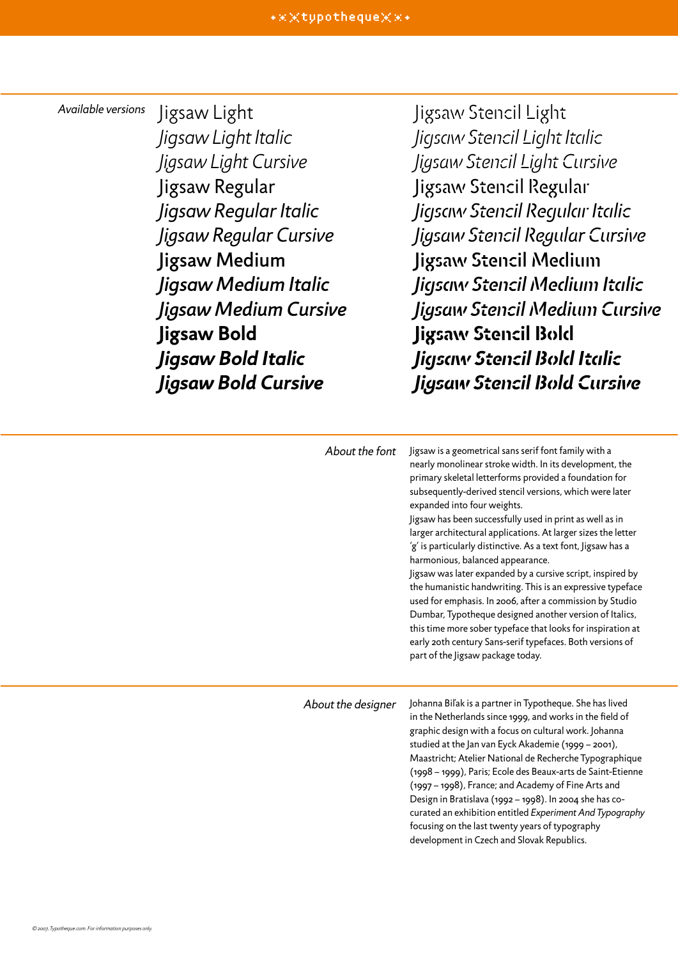#### *Available versions*

Jigsaw Light *Jigsaw Light Italic Jigsaw Light Cursive* Jigsaw Regular *Jigsaw Regular Italic Jigsaw Regular Cursive* Jigsaw Medium *Jigsaw Medium Italic Jigsaw Medium Cursive* **Jigsaw Bold** *Jigsaw Bold Italic Jigsaw Bold Cursive*

Jigsaw Stencil Light *Jigsaw Stencil Light Italic Jigsaw Stencil Light Cursive* Jigsaw Stencil Regular *Jigsaw Stencil Regular Italic Jigsaw Stencil Regular Cursive* Jigsaw Stencil Medium *Jigsaw Stencil Medium Italic Jigsaw Stencil Medium Cursive* **Jigsaw Stencil Bold** *Jigsaw Stencil Bold Italic Jigsaw Stencil Bold Cursive*

| About the font     | Jigsaw is a geometrical sans serif font family with a<br>nearly monolinear stroke width. In its development, the<br>primary skeletal letterforms provided a foundation for<br>subsequently-derived stencil versions, which were later<br>expanded into four weights.<br>Jigsaw has been successfully used in print as well as in<br>larger architectural applications. At larger sizes the letter<br>'g' is particularly distinctive. As a text font, Jigsaw has a<br>harmonious, balanced appearance.<br>Jigsaw was later expanded by a cursive script, inspired by<br>the humanistic handwriting. This is an expressive typeface<br>used for emphasis. In 2006, after a commission by Studio<br>Dumbar, Typotheque designed another version of Italics,<br>this time more sober typeface that looks for inspiration at<br>early 20th century Sans-serif typefaces. Both versions of<br>part of the Jigsaw package today. |
|--------------------|----------------------------------------------------------------------------------------------------------------------------------------------------------------------------------------------------------------------------------------------------------------------------------------------------------------------------------------------------------------------------------------------------------------------------------------------------------------------------------------------------------------------------------------------------------------------------------------------------------------------------------------------------------------------------------------------------------------------------------------------------------------------------------------------------------------------------------------------------------------------------------------------------------------------------|
| About the designer | Johanna Biľak is a partner in Typotheque. She has lived<br>in the Netherlands since 1999, and works in the field of<br>graphic design with a focus on cultural work. Johanna<br>studied at the Jan van Eyck Akademie (1999 - 2001),<br>Maastricht; Atelier National de Recherche Typographique<br>(1998 - 1999), Paris; Ecole des Beaux-arts de Saint-Etienne<br>(1997 - 1998), France; and Academy of Fine Arts and<br>Design in Bratislava (1992 - 1998). In 2004 she has co-                                                                                                                                                                                                                                                                                                                                                                                                                                            |

curated an exhibition entitled *Experiment And Typography*

focusing on the last twenty years of typography development in Czech and Slovak Republics.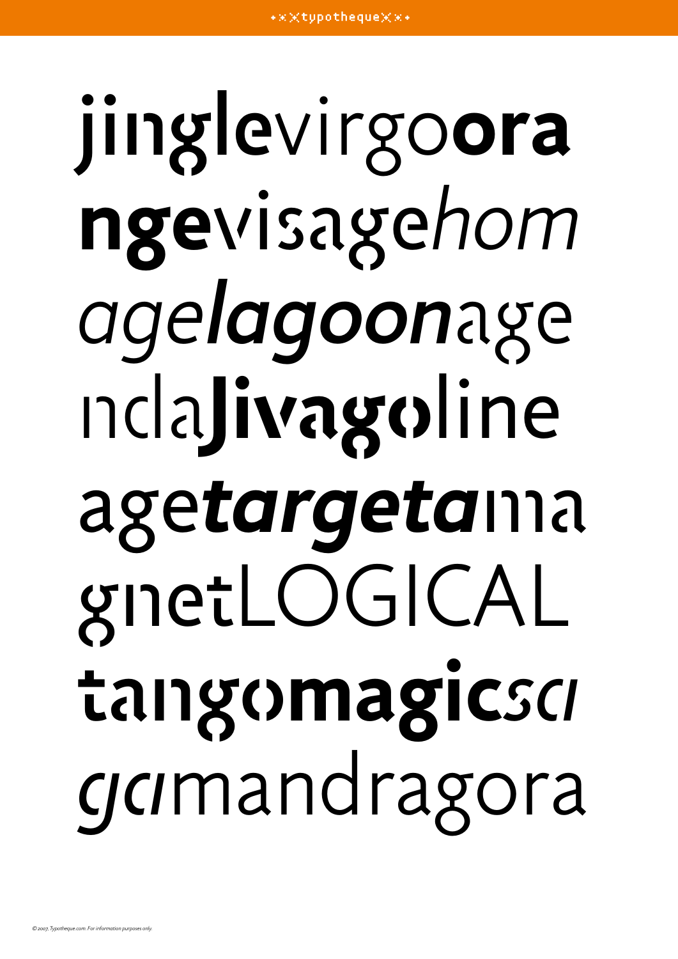# jinglevirgo**ora nge**visage*hom agelagoon*age nda**Jivago**line age*targeta*ma gnetLOGICAL tango**magic***sa ga*mandragora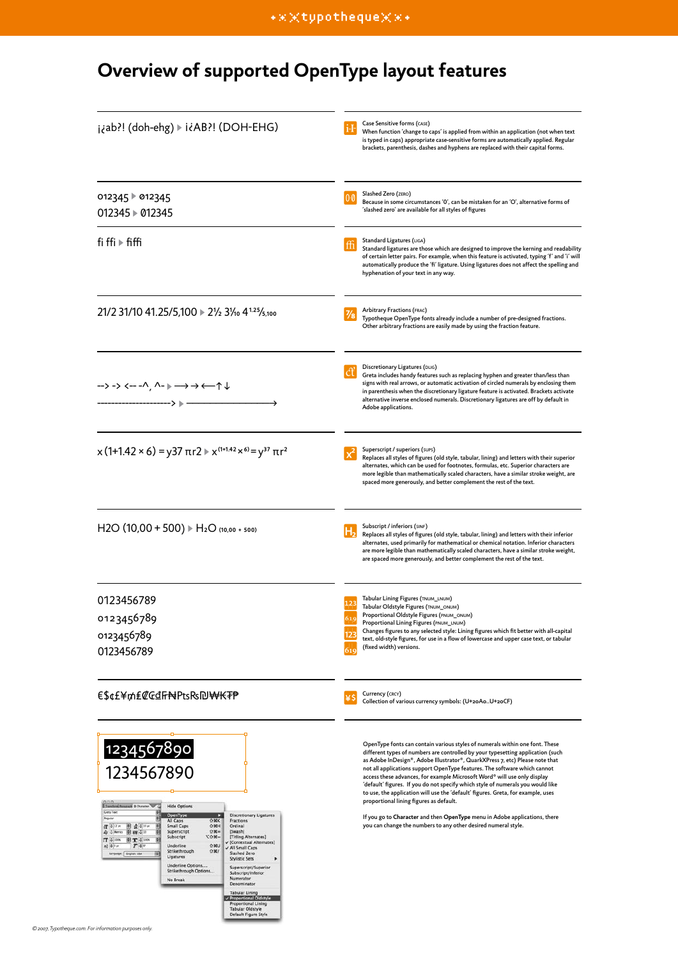## **Overview of supported OpenType layout features**

| j¿ab?! (doh-ehg) ▶ i¿AB?! (DOH-EHG)                                                                                                                                                                                                                                                                                                                                                                                                                                                                                                                                                                                                                                                                    | Case Sensitive forms (CASE)<br>When function 'change to caps' is applied from within an application (not when text<br>is typed in caps) appropriate case-sensitive forms are automatically applied. Regular<br>brackets, parenthesis, dashes and hyphens are replaced with their capital forms.                                                                                                                                                                                                                                                                                                                                                                                                                                                                            |  |  |
|--------------------------------------------------------------------------------------------------------------------------------------------------------------------------------------------------------------------------------------------------------------------------------------------------------------------------------------------------------------------------------------------------------------------------------------------------------------------------------------------------------------------------------------------------------------------------------------------------------------------------------------------------------------------------------------------------------|----------------------------------------------------------------------------------------------------------------------------------------------------------------------------------------------------------------------------------------------------------------------------------------------------------------------------------------------------------------------------------------------------------------------------------------------------------------------------------------------------------------------------------------------------------------------------------------------------------------------------------------------------------------------------------------------------------------------------------------------------------------------------|--|--|
| 012345 012345<br>012345 012345                                                                                                                                                                                                                                                                                                                                                                                                                                                                                                                                                                                                                                                                         | Slashed Zero (ZERO)<br>0.0<br>Because in some circumstances 'O', can be mistaken for an 'O', alternative forms of<br>'slashed zero' are available for all styles of figures                                                                                                                                                                                                                                                                                                                                                                                                                                                                                                                                                                                                |  |  |
| fi ffi $\blacktriangleright$ fiffi                                                                                                                                                                                                                                                                                                                                                                                                                                                                                                                                                                                                                                                                     | Standard Ligatures (LIGA)<br>ffi<br>Standard ligatures are those which are designed to improve the kerning and readability<br>of certain letter pairs. For example, when this feature is activated, typing 'f' and 'i' will<br>automatically produce the 'fi' ligature. Using ligatures does not affect the spelling and<br>hyphenation of your text in any way.                                                                                                                                                                                                                                                                                                                                                                                                           |  |  |
| 21/2 31/10 41.25/5,100 ▶ 21/2 31/10 4 <sup>1.25</sup> /5,100                                                                                                                                                                                                                                                                                                                                                                                                                                                                                                                                                                                                                                           | <b>Arbitrary Fractions (FRAC)</b><br>Typotheque OpenType fonts already include a number of pre-designed fractions.<br>Other arbitrary fractions are easily made by using the fraction feature.                                                                                                                                                                                                                                                                                                                                                                                                                                                                                                                                                                             |  |  |
| $\rightarrow$ -> <---^, ^- ) $\rightarrow$ $\leftarrow$ $\uparrow$ $\downarrow$                                                                                                                                                                                                                                                                                                                                                                                                                                                                                                                                                                                                                        | Discretionary Ligatures (DLIG)<br>Greta includes handy features such as replacing hyphen and greater than/less than<br>signs with real arrows, or automatic activation of circled numerals by enclosing them<br>in parenthesis when the discretionary ligature feature is activated. Brackets activate<br>alternative inverse enclosed numerals. Discretionary ligatures are off by default in<br>Adobe applications.                                                                                                                                                                                                                                                                                                                                                      |  |  |
| $x(1+1.42 \times 6) = y37 \pi r2 \times x^{(1+1.42 \times 6)} = y^{37} \pi r^2$                                                                                                                                                                                                                                                                                                                                                                                                                                                                                                                                                                                                                        | Superscript / superiors (sups)<br>Replaces all styles of figures (old style, tabular, lining) and letters with their superior<br>alternates, which can be used for footnotes, formulas, etc. Superior characters are<br>more legible than mathematically scaled characters, have a similar stroke weight, are<br>spaced more generously, and better complement the rest of the text.                                                                                                                                                                                                                                                                                                                                                                                       |  |  |
| $H2O (10,00 + 500)$ $\triangleright H_2O (10,00 + 500)$                                                                                                                                                                                                                                                                                                                                                                                                                                                                                                                                                                                                                                                | Subscript / inferiors (SINF)<br>Replaces all styles of figures (old style, tabular, lining) and letters with their inferior<br>alternates, used primarily for mathematical or chemical notation. Inferior characters<br>are more legible than mathematically scaled characters, have a similar stroke weight,<br>are spaced more generously, and better complement the rest of the text.                                                                                                                                                                                                                                                                                                                                                                                   |  |  |
| 0123456789<br>0123456789<br>0123456789<br>0123456789                                                                                                                                                                                                                                                                                                                                                                                                                                                                                                                                                                                                                                                   | Tabular Lining Figures (TNUM_LNUM)<br>Tabular Oldstyle Figures (TNUM_ONUM)<br>Proportional Oldstyle Figures (PNUM_ONUM)<br>Proportional Lining Figures (PNUM_LNUM)<br>Changes figures to any selected style: Lining figures which fit better with all-capital<br>text, old-style figures, for use in a flow of lowercase and upper case text, or tabular<br>(fixed width) versions.                                                                                                                                                                                                                                                                                                                                                                                        |  |  |
| ₠\$¢£¥₥₤₡₢₫Ⴌ₦₧ѕ₨₪₩₭₮₱                                                                                                                                                                                                                                                                                                                                                                                                                                                                                                                                                                                                                                                                                  | Currency (CRCY)<br>Collection of various currency symbols: (U+20AoU+20CF)                                                                                                                                                                                                                                                                                                                                                                                                                                                                                                                                                                                                                                                                                                  |  |  |
| 1234567890<br>1234567890<br><b>BUIN O Character</b><br><b>Hide Options</b><br><b>Greta Text</b><br>OpenType<br><b>Discretionary Ligatures</b><br>koula<br>All Caps<br><b>OMK</b><br>Fractions<br>图 会 10m<br>$0$ MH<br>∉ ÷ 32 m<br>×<br>Small Caps<br>Ordinal<br>$0$ M =<br>[Swash]<br>Superscript<br>图 图 40<br>Ay & Merrits<br>$-897$<br>[Titling Alternates]<br>Subscript<br>$IT + 100$<br>图工 4 1004<br>[Contextual Alternates]<br>$T - v$<br>0.901<br>精英印件<br>Underline<br>All Small Caps<br>Strikethrough<br>$0$ M/<br>Slashed Zero<br>同<br>Language: English USA<br>Ligatures<br><b>Stylistic Sets</b><br>Underline Options<br>Superscript/Superior<br>Strikethrough Options<br>Subscript/Inferior | OpenType fonts can contain various styles of numerals within one font. These<br>different types of numbers are controlled by your typesetting application (such<br>as Adobe InDesign®, Adobe Illustrator®, QuarkXPress 7, etc) Please note that<br>not all applications support OpenType features. The software which cannot<br>access these advances, for example Microsoft Word® will use only display<br>'default' figures. If you do not specify which style of numerals you would like<br>to use, the application will use the 'default' figures. Greta, for example, uses<br>proportional lining figures as default.<br>If you go to Character and then OpenType menu in Adobe applications, there<br>you can change the numbers to any other desired numeral style. |  |  |
| Numerator<br>No Break<br>Denominator<br><b>Tabular Lining</b><br>Proportional Oldstyle<br>Proportional Lining<br><b>Tabular Oldstyle</b><br>Default Figure Style                                                                                                                                                                                                                                                                                                                                                                                                                                                                                                                                       |                                                                                                                                                                                                                                                                                                                                                                                                                                                                                                                                                                                                                                                                                                                                                                            |  |  |